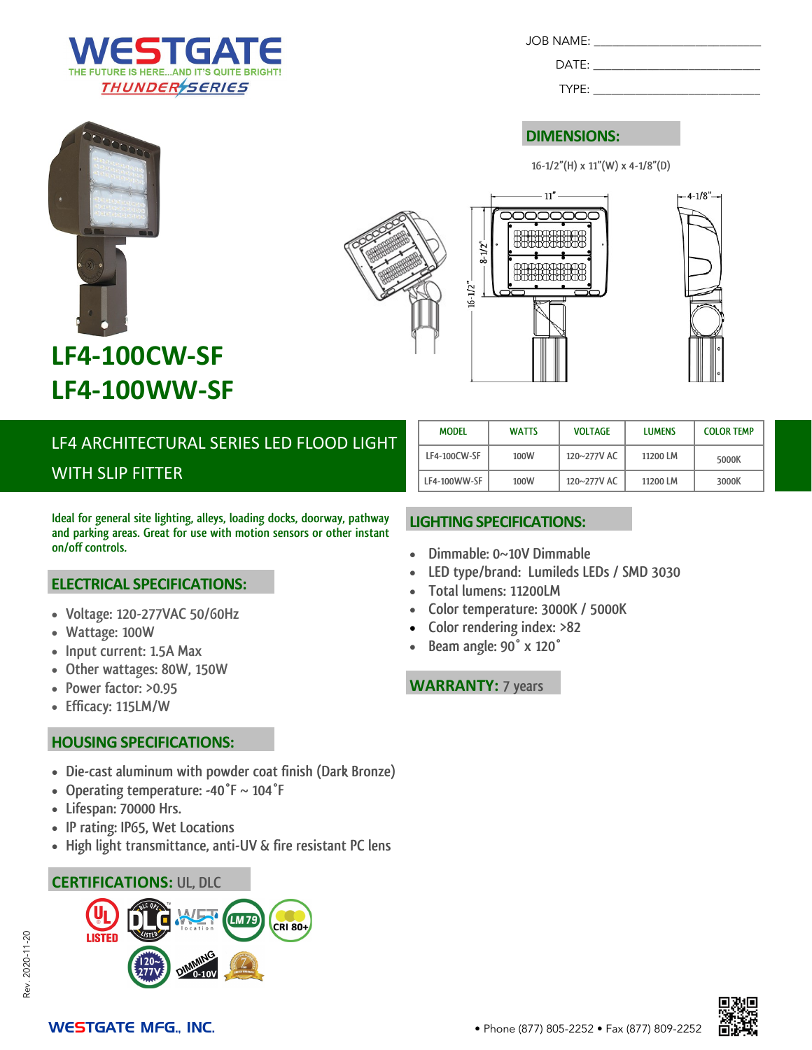

JOB NAME: \_\_\_\_\_\_\_\_\_\_\_\_\_\_\_\_\_\_\_\_\_\_\_\_\_\_\_\_

TYPE: \_\_\_\_\_\_\_\_\_\_\_\_\_\_\_\_\_\_\_\_\_\_\_\_\_\_\_\_

### **DIMENSIONS:**

 $11$ "

**16-1/2"(H) x 11"(W) x 4-1/8"(D)**

 $4 - 1/8$ "





# LF4 ARCHITECTURAL SERIES LED FLOOD LIGHT WITH SLIP FITTER

**Ideal for general site lighting, alleys, loading docks, doorway, pathway and parking areas. Great for use with motion sensors or other instant on/off controls.** 

### **ELECTRICAL SPECIFICATIONS:**

- **Voltage: 120-277VAC 50/60Hz**
- **Wattage: 100W**
- **Input current: 1.5A Max**
- **Other wattages: 80W, 150W**
- **Power factor: >0.95**
- **Efficacy: 115LM/W**

### **HOUSING SPECIFICATIONS:**

- **Die-cast aluminum with powder coat finish (Dark Bronze)**
- **Operating temperature: -40°F ~ 104°F**
- **Lifespan: 70000 Hrs.**
- **IP rating: IP65, Wet Locations**
- **High light transmittance, anti-UV & fire resistant PC lens**

### **CERTIFICATIONS: UL, DLC**



| <b>MODEL</b> | <b>WATTS</b> | <b>VOLTAGE</b> | <b>LUMENS</b> | <b>COLOR TEMP</b> |
|--------------|--------------|----------------|---------------|-------------------|
| LF4-100CW-SF | 100W         | 120~277V AC    | 11200 LM      | 5000K             |
| LF4-100WW-SF | 100W         | 120~277V AC    | 11200 LM      | 3000K             |

### **LIGHTING SPECIFICATIONS:**

- **Dimmable: 0~10V Dimmable**
- **LED type/brand: Lumileds LEDs / SMD 3030**
- **Total lumens: 11200LM**

 $8 - 1/2$ "

- **Color temperature: 3000K / 5000K**
- **Color rendering index: >82**
- **Beam angle: 90° x 120°**

**WARRANTY: 7 years**